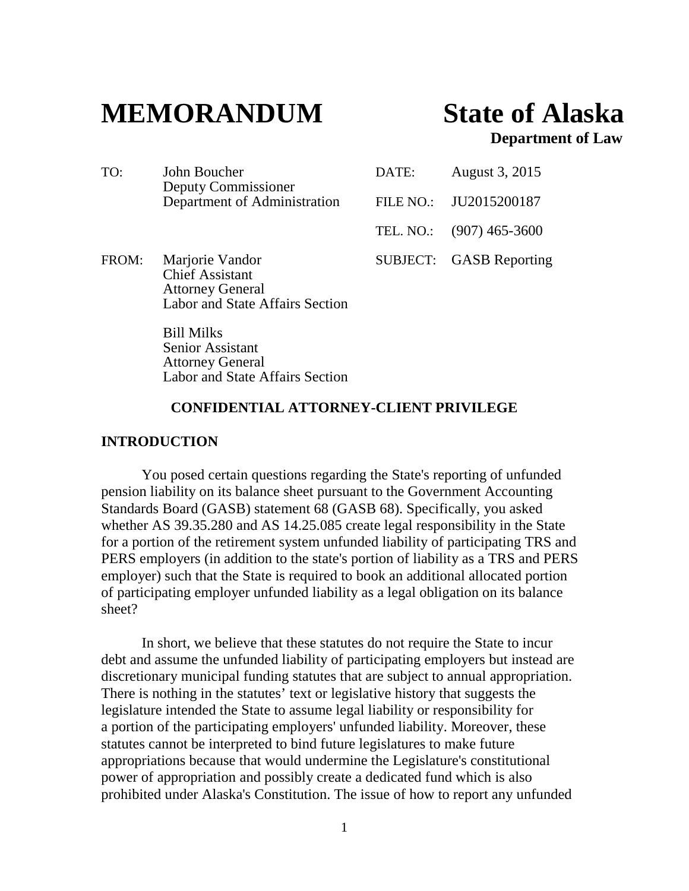# **MEMORANDUM State of Alaska**

**Department of Law**

| TO:   | John Boucher<br>Deputy Commissioner                                                                            | DATE:     | August 3, 2015          |
|-------|----------------------------------------------------------------------------------------------------------------|-----------|-------------------------|
|       | Department of Administration                                                                                   | FILE NO.: | JU2015200187            |
|       |                                                                                                                | TEL. NO.: | $(907)$ 465-3600        |
| FROM: | Marjorie Vandor<br><b>Chief Assistant</b><br><b>Attorney General</b><br><b>Labor and State Affairs Section</b> |           | SUBJECT: GASB Reporting |

Bill Milks Senior Assistant Attorney General Labor and State Affairs Section

#### **CONFIDENTIAL ATTORNEY-CLIENT PRIVILEGE**

#### **INTRODUCTION**

You posed certain questions regarding the State's reporting of unfunded pension liability on its balance sheet pursuant to the Government Accounting Standards Board (GASB) statement 68 (GASB 68). Specifically, you asked whether AS 39.35.280 and AS 14.25.085 create legal responsibility in the State for a portion of the retirement system unfunded liability of participating TRS and PERS employers (in addition to the state's portion of liability as a TRS and PERS employer) such that the State is required to book an additional allocated portion of participating employer unfunded liability as a legal obligation on its balance sheet?

In short, we believe that these statutes do not require the State to incur debt and assume the unfunded liability of participating employers but instead are discretionary municipal funding statutes that are subject to annual appropriation. There is nothing in the statutes' text or legislative history that suggests the legislature intended the State to assume legal liability or responsibility for a portion of the participating employers' unfunded liability. Moreover, these statutes cannot be interpreted to bind future legislatures to make future appropriations because that would undermine the Legislature's constitutional power of appropriation and possibly create a dedicated fund which is also prohibited under Alaska's Constitution. The issue of how to report any unfunded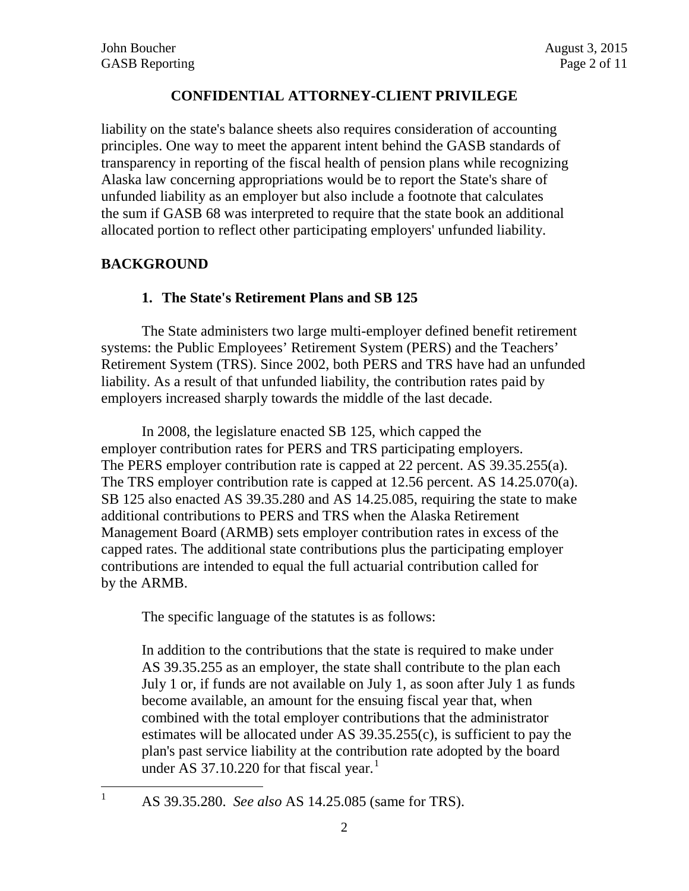liability on the state's balance sheets also requires consideration of accounting principles. One way to meet the apparent intent behind the GASB standards of transparency in reporting of the fiscal health of pension plans while recognizing Alaska law concerning appropriations would be to report the State's share of unfunded liability as an employer but also include a footnote that calculates the sum if GASB 68 was interpreted to require that the state book an additional allocated portion to reflect other participating employers' unfunded liability.

# **BACKGROUND**

<span id="page-1-0"></span> $\mathbf{1}$ 

# **1. The State's Retirement Plans and SB 125**

The State administers two large multi-employer defined benefit retirement systems: the Public Employees' Retirement System (PERS) and the Teachers' Retirement System (TRS). Since 2002, both PERS and TRS have had an unfunded liability. As a result of that unfunded liability, the contribution rates paid by employers increased sharply towards the middle of the last decade.

In 2008, the legislature enacted SB 125, which capped the employer contribution rates for PERS and TRS participating employers. The PERS employer contribution rate is capped at 22 percent. AS 39.35.255(a). The TRS employer contribution rate is capped at 12.56 percent. AS 14.25.070(a). SB 125 also enacted AS 39.35.280 and AS 14.25.085, requiring the state to make additional contributions to PERS and TRS when the Alaska Retirement Management Board (ARMB) sets employer contribution rates in excess of the capped rates. The additional state contributions plus the participating employer contributions are intended to equal the full actuarial contribution called for by the ARMB.

The specific language of the statutes is as follows:

In addition to the contributions that the state is required to make under AS 39.35.255 as an employer, the state shall contribute to the plan each July 1 or, if funds are not available on July 1, as soon after July 1 as funds become available, an amount for the ensuing fiscal year that, when combined with the total employer contributions that the administrator estimates will be allocated under AS 39.35.255(c), is sufficient to pay the plan's past service liability at the contribution rate adopted by the board under AS 37.[1](#page-1-0)0.220 for that fiscal year.<sup>1</sup>

<sup>1</sup> AS 39.35.280. *See also* AS 14.25.085 (same for TRS).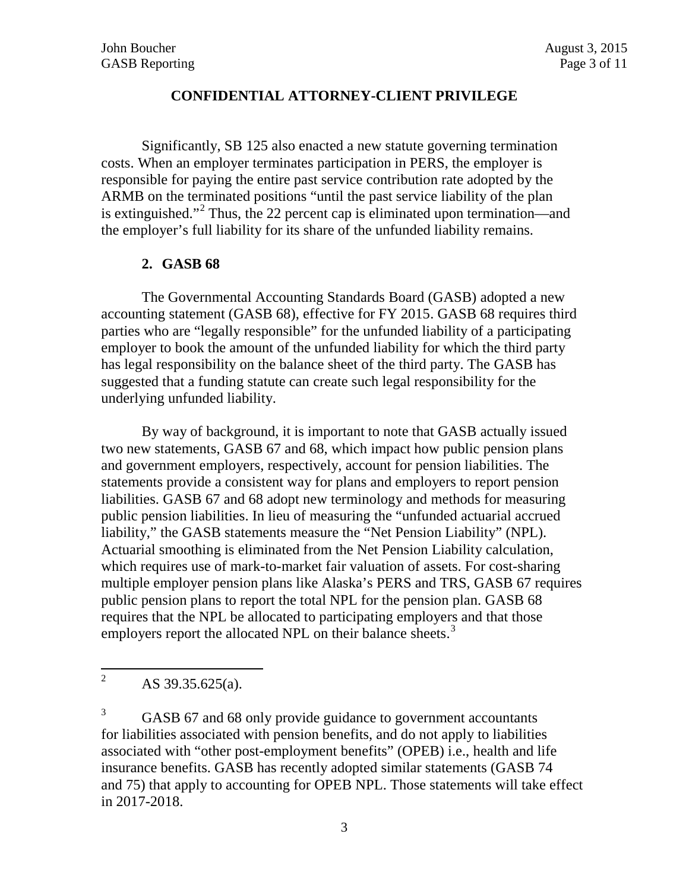Significantly, SB 125 also enacted a new statute governing termination costs. When an employer terminates participation in PERS, the employer is responsible for paying the entire past service contribution rate adopted by the ARMB on the terminated positions "until the past service liability of the plan is extinguished."[2](#page-2-0) Thus, the 22 percent cap is eliminated upon termination—and the employer's full liability for its share of the unfunded liability remains.

#### **2. GASB 68**

The Governmental Accounting Standards Board (GASB) adopted a new accounting statement (GASB 68), effective for FY 2015. GASB 68 requires third parties who are "legally responsible" for the unfunded liability of a participating employer to book the amount of the unfunded liability for which the third party has legal responsibility on the balance sheet of the third party. The GASB has suggested that a funding statute can create such legal responsibility for the underlying unfunded liability.

By way of background, it is important to note that GASB actually issued two new statements, GASB 67 and 68, which impact how public pension plans and government employers, respectively, account for pension liabilities. The statements provide a consistent way for plans and employers to report pension liabilities. GASB 67 and 68 adopt new terminology and methods for measuring public pension liabilities. In lieu of measuring the "unfunded actuarial accrued liability," the GASB statements measure the "Net Pension Liability" (NPL). Actuarial smoothing is eliminated from the Net Pension Liability calculation, which requires use of mark-to-market fair valuation of assets. For cost-sharing multiple employer pension plans like Alaska's PERS and TRS, GASB 67 requires public pension plans to report the total NPL for the pension plan. GASB 68 requires that the NPL be allocated to participating employers and that those employers report the allocated NPL on their balance sheets.<sup>[3](#page-2-1)</sup>

<span id="page-2-0"></span>AS 39.35.625(a).  $\overline{c}$ 

<span id="page-2-1"></span><sup>&</sup>lt;sup>3</sup> GASB 67 and 68 only provide guidance to government accountants for liabilities associated with pension benefits, and do not apply to liabilities associated with "other post-employment benefits" (OPEB) i.e., health and life insurance benefits. GASB has recently adopted similar statements (GASB 74 and 75) that apply to accounting for OPEB NPL. Those statements will take effect in 2017-2018.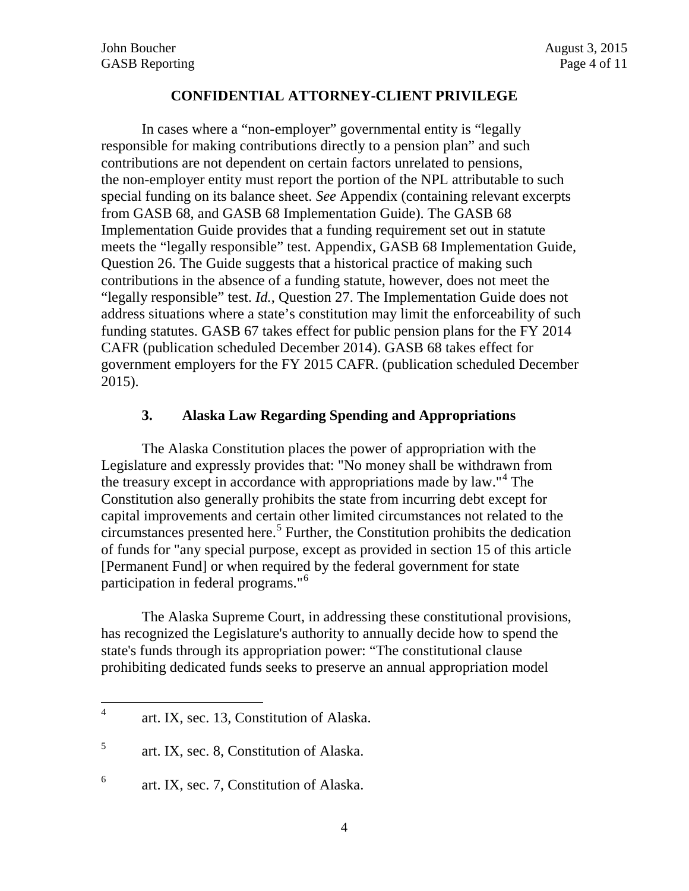In cases where a "non-employer" governmental entity is "legally responsible for making contributions directly to a pension plan" and such contributions are not dependent on certain factors unrelated to pensions, the non-employer entity must report the portion of the NPL attributable to such special funding on its balance sheet. *See* Appendix (containing relevant excerpts from GASB 68, and GASB 68 Implementation Guide). The GASB 68 Implementation Guide provides that a funding requirement set out in statute meets the "legally responsible" test. Appendix, GASB 68 Implementation Guide, Question 26. The Guide suggests that a historical practice of making such contributions in the absence of a funding statute, however, does not meet the "legally responsible" test. *Id.*, Question 27. The Implementation Guide does not address situations where a state's constitution may limit the enforceability of such funding statutes. GASB 67 takes effect for public pension plans for the FY 2014 CAFR (publication scheduled December 2014). GASB 68 takes effect for government employers for the FY 2015 CAFR. (publication scheduled December 2015).

# **3. Alaska Law Regarding Spending and Appropriations**

The Alaska Constitution places the power of appropriation with the Legislature and expressly provides that: "No money shall be withdrawn from the treasury except in accordance with appropriations made by law."<sup>[4](#page-3-0)</sup> The Constitution also generally prohibits the state from incurring debt except for capital improvements and certain other limited circumstances not related to the circumstances presented here.[5](#page-3-1) Further, the Constitution prohibits the dedication of funds for "any special purpose, except as provided in section 15 of this article [Permanent Fund] or when required by the federal government for state participation in federal programs." [6](#page-3-2)

The Alaska Supreme Court, in addressing these constitutional provisions, has recognized the Legislature's authority to annually decide how to spend the state's funds through its appropriation power: "The constitutional clause prohibiting dedicated funds seeks to preserve an annual appropriation model

<span id="page-3-0"></span>art. IX, sec. 13, Constitution of Alaska.  $\overline{4}$ 

<span id="page-3-1"></span><sup>5</sup> art. IX, sec. 8, Constitution of Alaska.

<span id="page-3-2"></span> $<sup>6</sup>$  art. IX, sec. 7, Constitution of Alaska.</sup>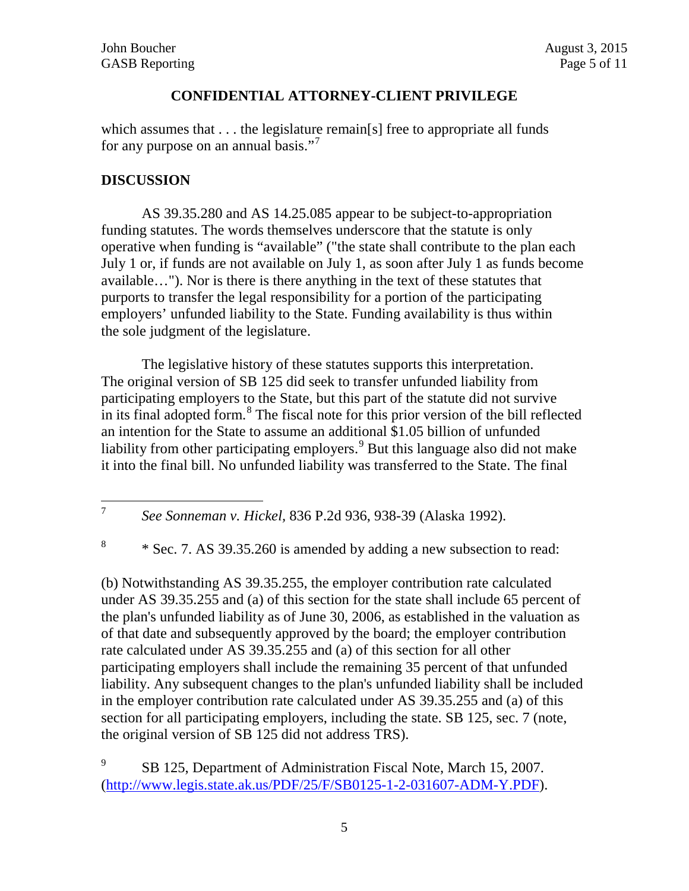which assumes that . . . the legislature remain[s] free to appropriate all funds for any purpose on an annual basis." $\frac{1}{2}$ 

# **DISCUSSION**

AS 39.35.280 and AS 14.25.085 appear to be subject-to-appropriation funding statutes. The words themselves underscore that the statute is only operative when funding is "available" ("the state shall contribute to the plan each July 1 or, if funds are not available on July 1, as soon after July 1 as funds become available…"). Nor is there is there anything in the text of these statutes that purports to transfer the legal responsibility for a portion of the participating employers' unfunded liability to the State. Funding availability is thus within the sole judgment of the legislature.

 The legislative history of these statutes supports this interpretation. The original version of SB 125 did seek to transfer unfunded liability from participating employers to the State, but this part of the statute did not survive in its final adopted form.[8](#page-4-1) The fiscal note for this prior version of the bill reflected an intention for the State to assume an additional \$1.05 billion of unfunded liability from other participating employers.  $9$  But this language also did not make it into the final bill. No unfunded liability was transferred to the State. The final

(b) Notwithstanding AS 39.35.255, the employer contribution rate calculated under AS 39.35.255 and (a) of this section for the state shall include 65 percent of the plan's unfunded liability as of June 30, 2006, as established in the valuation as of that date and subsequently approved by the board; the employer contribution rate calculated under AS 39.35.255 and (a) of this section for all other participating employers shall include the remaining 35 percent of that unfunded liability. Any subsequent changes to the plan's unfunded liability shall be included in the employer contribution rate calculated under AS 39.35.255 and (a) of this section for all participating employers, including the state. SB 125, sec. 7 (note, the original version of SB 125 did not address TRS).

<span id="page-4-2"></span><sup>9</sup> SB 125, Department of Administration Fiscal Note, March 15, 2007. [\(http://www.legis.state.ak.us/PDF/25/F/SB0125-1-2-031607-ADM-Y.PDF\)](http://www.legis.state.ak.us/PDF/25/F/SB0125-1-2-031607-ADM-Y.PDF).

<span id="page-4-0"></span><sup>7</sup> *See Sonneman v. Hickel,* 836 P.2d 936, 938-39 (Alaska 1992).  $\overline{7}$ 

<span id="page-4-1"></span><sup>&</sup>lt;sup>8</sup> \* Sec. 7. AS 39.35.260 is amended by adding a new subsection to read: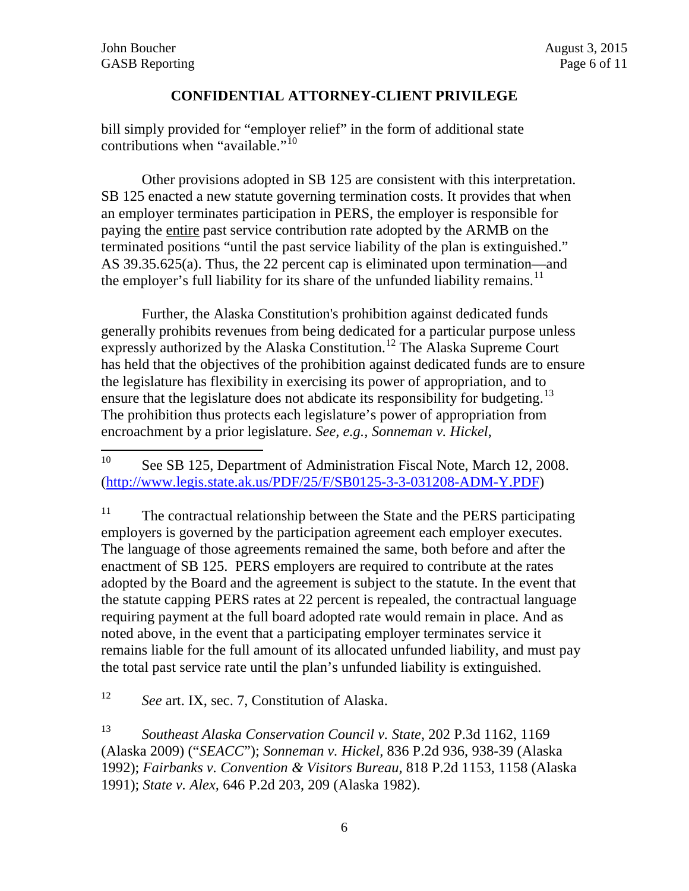bill simply provided for "employer relief" in the form of additional state contributions when "available."<sup>[10](#page-5-0)</sup>

Other provisions adopted in SB 125 are consistent with this interpretation. SB 125 enacted a new statute governing termination costs. It provides that when an employer terminates participation in PERS, the employer is responsible for paying the entire past service contribution rate adopted by the ARMB on the terminated positions "until the past service liability of the plan is extinguished." AS 39.35.625(a). Thus, the 22 percent cap is eliminated upon termination—and the employer's full liability for its share of the unfunded liability remains.<sup>[11](#page-5-1)</sup>

Further, the Alaska Constitution's prohibition against dedicated funds generally prohibits revenues from being dedicated for a particular purpose unless expressly authorized by the Alaska Constitution.<sup>[12](#page-5-2)</sup> The Alaska Supreme Court has held that the objectives of the prohibition against dedicated funds are to ensure the legislature has flexibility in exercising its power of appropriation, and to ensure that the legislature does not abdicate its responsibility for budgeting.<sup>[13](#page-5-3)</sup> The prohibition thus protects each legislature's power of appropriation from encroachment by a prior legislature. *See, e.g., Sonneman v. Hickel*,

<span id="page-5-1"></span> $11$  The contractual relationship between the State and the PERS participating employers is governed by the participation agreement each employer executes. The language of those agreements remained the same, both before and after the enactment of SB 125. PERS employers are required to contribute at the rates adopted by the Board and the agreement is subject to the statute. In the event that the statute capping PERS rates at 22 percent is repealed, the contractual language requiring payment at the full board adopted rate would remain in place. And as noted above, in the event that a participating employer terminates service it remains liable for the full amount of its allocated unfunded liability, and must pay the total past service rate until the plan's unfunded liability is extinguished.

<span id="page-5-2"></span><sup>12</sup> *See* art. IX, sec. 7, Constitution of Alaska.

<span id="page-5-3"></span>13 *Southeast Alaska Conservation Council v. State,* 202 P.3d 1162, 1169 (Alaska 2009) ("*SEACC*"); *Sonneman v. Hickel,* 836 P.2d 936, 938-39 (Alaska 1992); *Fairbanks v. Convention & Visitors Bureau,* 818 P.2d 1153, 1158 (Alaska 1991); *State v. Alex,* 646 P.2d 203, 209 (Alaska 1982).

<span id="page-5-0"></span>See SB 125, Department of Administration Fiscal Note, March 12, 2008. [\(http://www.legis.state.ak.us/PDF/25/F/SB0125-3-3-031208-ADM-Y.PDF\)](http://www.legis.state.ak.us/PDF/25/F/SB0125-3-3-031208-ADM-Y.PDF)  $10\,$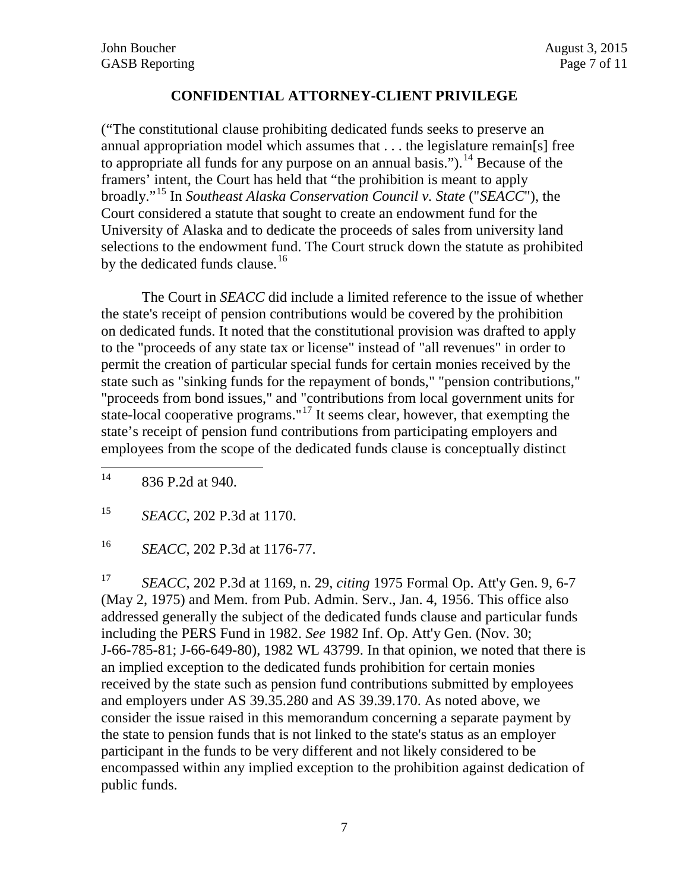("The constitutional clause prohibiting dedicated funds seeks to preserve an annual appropriation model which assumes that . . . the legislature remain[s] free to appropriate all funds for any purpose on an annual basis.").<sup>[14](#page-6-0)</sup> Because of the framers' intent, the Court has held that "the prohibition is meant to apply broadly."[15](#page-6-1) In *Southeast Alaska Conservation Council v. State* ("*SEACC*"), the Court considered a statute that sought to create an endowment fund for the University of Alaska and to dedicate the proceeds of sales from university land selections to the endowment fund. The Court struck down the statute as prohibited by the dedicated funds clause.<sup>[16](#page-6-2)</sup>

The Court in *SEACC* did include a limited reference to the issue of whether the state's receipt of pension contributions would be covered by the prohibition on dedicated funds. It noted that the constitutional provision was drafted to apply to the "proceeds of any state tax or license" instead of "all revenues" in order to permit the creation of particular special funds for certain monies received by the state such as "sinking funds for the repayment of bonds," "pension contributions," "proceeds from bond issues," and "contributions from local government units for state-local cooperative programs."<sup>[17](#page-6-3)</sup> It seems clear, however, that exempting the state's receipt of pension fund contributions from participating employers and employees from the scope of the dedicated funds clause is conceptually distinct

<span id="page-6-1"></span><sup>15</sup> *SEACC*, 202 P.3d at 1170.

<span id="page-6-2"></span><sup>16</sup> *SEACC*, 202 P.3d at 1176-77.

<span id="page-6-3"></span><sup>17</sup> *SEACC*, 202 P.3d at 1169, n. 29, *citing* 1975 Formal Op. Att'y Gen. 9, 6-7 (May 2, 1975) and Mem. from Pub. Admin. Serv., Jan. 4, 1956. This office also addressed generally the subject of the dedicated funds clause and particular funds including the PERS Fund in 1982. *See* 1982 Inf. Op. Att'y Gen. (Nov. 30; J-66-785-81; J-66-649-80), 1982 WL 43799. In that opinion, we noted that there is an implied exception to the dedicated funds prohibition for certain monies received by the state such as pension fund contributions submitted by employees and employers under AS 39.35.280 and AS 39.39.170. As noted above, we consider the issue raised in this memorandum concerning a separate payment by the state to pension funds that is not linked to the state's status as an employer participant in the funds to be very different and not likely considered to be encompassed within any implied exception to the prohibition against dedication of public funds.

<span id="page-6-0"></span><sup>836</sup> P.2d at 940.  $14$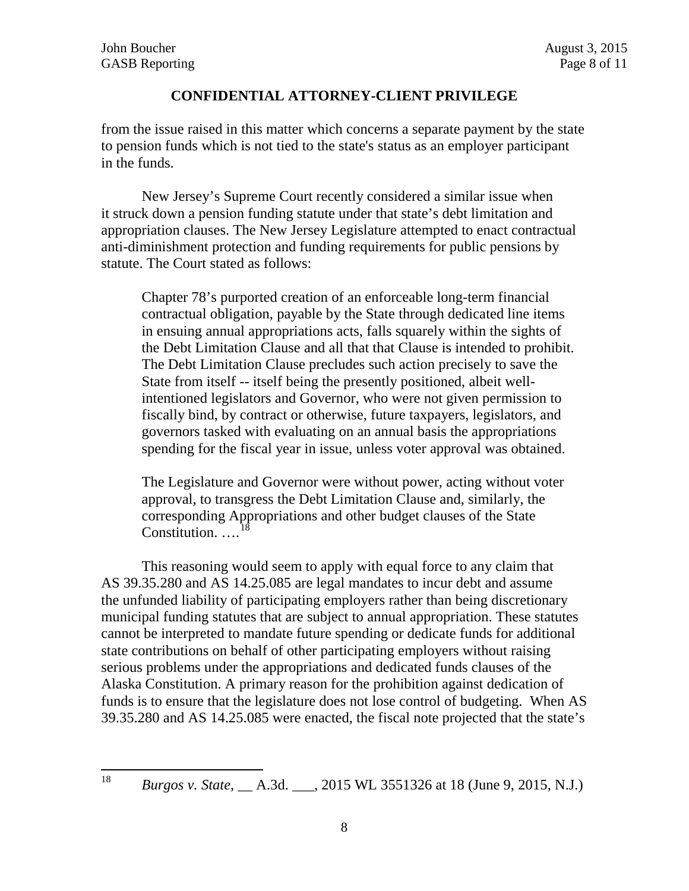<span id="page-7-0"></span>18

## **CONFIDENTIAL ATTORNEY-CLIENT PRIVILEGE**

from the issue raised in this matter which concerns a separate payment by the state to pension funds which is not tied to the state's status as an employer participant in the funds.

New Jersey's Supreme Court recently considered a similar issue when it struck down a pension funding statute under that state's debt limitation and appropriation clauses. The New Jersey Legislature attempted to enact contractual anti-diminishment protection and funding requirements for public pensions by statute. The Court stated as follows:

Chapter 78's purported creation of an enforceable long-term financial contractual obligation, payable by the State through dedicated line items in ensuing annual appropriations acts, falls squarely within the sights of the Debt Limitation Clause and all that that Clause is intended to prohibit. The Debt Limitation Clause precludes such action precisely to save the State from itself -- itself being the presently positioned, albeit wellintentioned legislators and Governor, who were not given permission to fiscally bind, by contract or otherwise, future taxpayers, legislators, and governors tasked with evaluating on an annual basis the appropriations spending for the fiscal year in issue, unless voter approval was obtained.

The Legislature and Governor were without power, acting without voter approval, to transgress the Debt Limitation Clause and, similarly, the corresponding Appropriations and other budget clauses of the State Constitution.  $\dots$ <sup>1</sup>

This reasoning would seem to apply with equal force to any claim that AS 39.35.280 and AS 14.25.085 are legal mandates to incur debt and assume the unfunded liability of participating employers rather than being discretionary municipal funding statutes that are subject to annual appropriation. These statutes cannot be interpreted to mandate future spending or dedicate funds for additional state contributions on behalf of other participating employers without raising serious problems under the appropriations and dedicated funds clauses of the Alaska Constitution. A primary reason for the prohibition against dedication of funds is to ensure that the legislature does not lose control of budgeting. When AS 39.35.280 and AS 14.25.085 were enacted, the fiscal note projected that the state's

<sup>18</sup> *Burgos v. State*, \_\_ A.3d. \_\_\_, 2015 WL 3551326 at 18 (June 9, 2015, N.J.)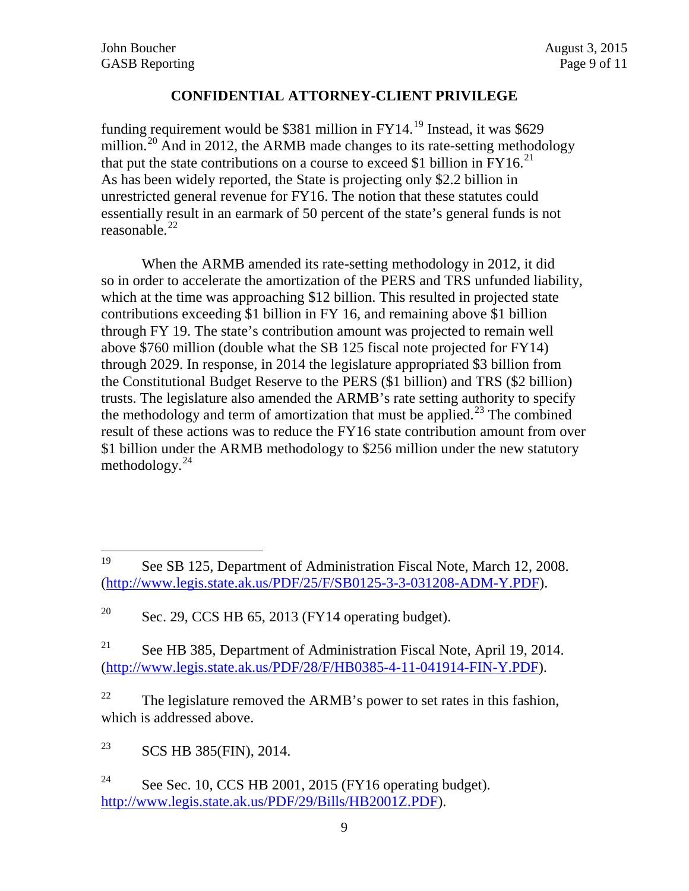funding requirement would be \$381 million in  $FY14.<sup>19</sup>$  $FY14.<sup>19</sup>$  $FY14.<sup>19</sup>$  Instead, it was \$629 million.<sup>[20](#page-8-1)</sup> And in 2012, the ARMB made changes to its rate-setting methodology that put the state contributions on a course to exceed \$1 billion in  $FY16<sup>21</sup>$  $FY16<sup>21</sup>$  $FY16<sup>21</sup>$ As has been widely reported, the State is projecting only \$2.2 billion in unrestricted general revenue for FY16. The notion that these statutes could essentially result in an earmark of 50 percent of the state's general funds is not reasonable. $^{22}$  $^{22}$  $^{22}$ 

When the ARMB amended its rate-setting methodology in 2012, it did so in order to accelerate the amortization of the PERS and TRS unfunded liability, which at the time was approaching \$12 billion. This resulted in projected state contributions exceeding \$1 billion in FY 16, and remaining above \$1 billion through FY 19. The state's contribution amount was projected to remain well above \$760 million (double what the SB 125 fiscal note projected for FY14) through 2029. In response, in 2014 the legislature appropriated \$3 billion from the Constitutional Budget Reserve to the PERS (\$1 billion) and TRS (\$2 billion) trusts. The legislature also amended the ARMB's rate setting authority to specify the methodology and term of amortization that must be applied.<sup>[23](#page-8-4)</sup> The combined result of these actions was to reduce the FY16 state contribution amount from over \$1 billion under the ARMB methodology to \$256 million under the new statutory methodology. [24](#page-8-5)

<span id="page-8-4"></span><sup>23</sup> SCS HB 385(FIN), 2014.

<span id="page-8-0"></span>See SB 125, Department of Administration Fiscal Note, March 12, 2008. [\(http://www.legis.state.ak.us/PDF/25/F/SB0125-3-3-031208-ADM-Y.PDF\)](http://www.legis.state.ak.us/PDF/25/F/SB0125-3-3-031208-ADM-Y.PDF). 19

<span id="page-8-1"></span> $20$  Sec. 29, CCS HB 65, 2013 (FY14 operating budget).

<span id="page-8-2"></span><sup>&</sup>lt;sup>21</sup> See HB 385, Department of Administration Fiscal Note, April 19, 2014. [\(http://www.legis.state.ak.us/PDF/28/F/HB0385-4-11-041914-FIN-Y.PDF\)](http://www.legis.state.ak.us/PDF/28/F/HB0385-4-11-041914-FIN-Y.PDF).

<span id="page-8-3"></span><sup>&</sup>lt;sup>22</sup> The legislature removed the ARMB's power to set rates in this fashion, which is addressed above.

<span id="page-8-5"></span><sup>&</sup>lt;sup>24</sup> See Sec. 10, CCS HB 2001, 2015 (FY16 operating budget). [http://www.legis.state.ak.us/PDF/29/Bills/HB2001Z.PDF\)](http://www.legis.state.ak.us/PDF/29/Bills/HB2001Z.PDF).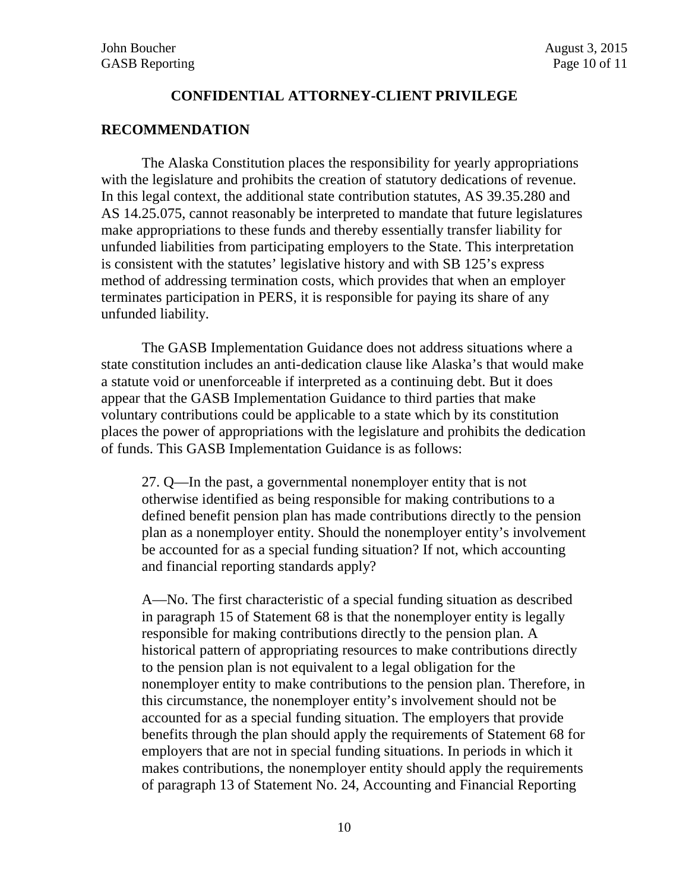#### **RECOMMENDATION**

The Alaska Constitution places the responsibility for yearly appropriations with the legislature and prohibits the creation of statutory dedications of revenue. In this legal context, the additional state contribution statutes, AS 39.35.280 and AS 14.25.075, cannot reasonably be interpreted to mandate that future legislatures make appropriations to these funds and thereby essentially transfer liability for unfunded liabilities from participating employers to the State. This interpretation is consistent with the statutes' legislative history and with SB 125's express method of addressing termination costs, which provides that when an employer terminates participation in PERS, it is responsible for paying its share of any unfunded liability.

The GASB Implementation Guidance does not address situations where a state constitution includes an anti-dedication clause like Alaska's that would make a statute void or unenforceable if interpreted as a continuing debt. But it does appear that the GASB Implementation Guidance to third parties that make voluntary contributions could be applicable to a state which by its constitution places the power of appropriations with the legislature and prohibits the dedication of funds. This GASB Implementation Guidance is as follows:

27. Q—In the past, a governmental nonemployer entity that is not otherwise identified as being responsible for making contributions to a defined benefit pension plan has made contributions directly to the pension plan as a nonemployer entity. Should the nonemployer entity's involvement be accounted for as a special funding situation? If not, which accounting and financial reporting standards apply?

A—No. The first characteristic of a special funding situation as described in paragraph 15 of Statement 68 is that the nonemployer entity is legally responsible for making contributions directly to the pension plan. A historical pattern of appropriating resources to make contributions directly to the pension plan is not equivalent to a legal obligation for the nonemployer entity to make contributions to the pension plan. Therefore, in this circumstance, the nonemployer entity's involvement should not be accounted for as a special funding situation. The employers that provide benefits through the plan should apply the requirements of Statement 68 for employers that are not in special funding situations. In periods in which it makes contributions, the nonemployer entity should apply the requirements of paragraph 13 of Statement No. 24, Accounting and Financial Reporting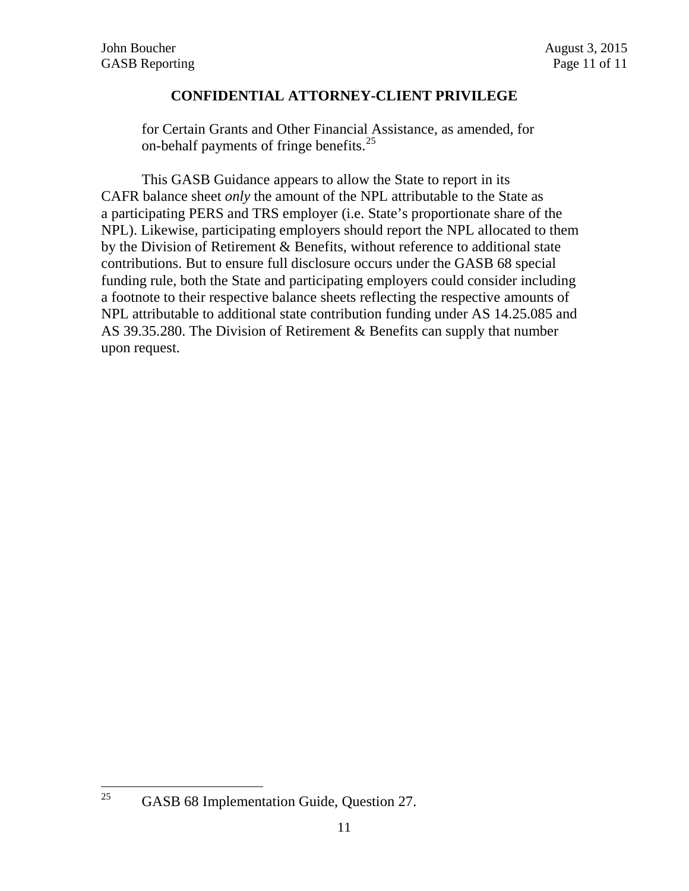for Certain Grants and Other Financial Assistance, as amended, for on-behalf payments of fringe benefits.<sup>[25](#page-10-0)</sup>

This GASB Guidance appears to allow the State to report in its CAFR balance sheet *only* the amount of the NPL attributable to the State as a participating PERS and TRS employer (i.e. State's proportionate share of the NPL). Likewise, participating employers should report the NPL allocated to them by the Division of Retirement & Benefits, without reference to additional state contributions. But to ensure full disclosure occurs under the GASB 68 special funding rule, both the State and participating employers could consider including a footnote to their respective balance sheets reflecting the respective amounts of NPL attributable to additional state contribution funding under AS 14.25.085 and AS 39.35.280. The Division of Retirement & Benefits can supply that number upon request.

<span id="page-10-0"></span>25

<sup>25</sup> GASB 68 Implementation Guide, Question 27.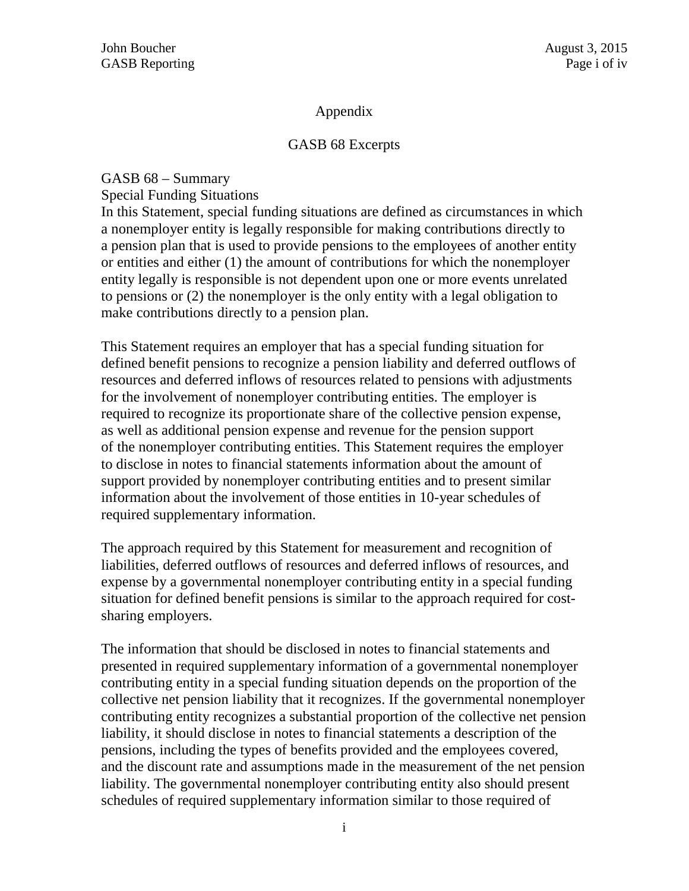#### Appendix

#### GASB 68 Excerpts

GASB 68 – Summary

Special Funding Situations

In this Statement, special funding situations are defined as circumstances in which a nonemployer entity is legally responsible for making contributions directly to a pension plan that is used to provide pensions to the employees of another entity or entities and either (1) the amount of contributions for which the nonemployer entity legally is responsible is not dependent upon one or more events unrelated to pensions or (2) the nonemployer is the only entity with a legal obligation to make contributions directly to a pension plan.

This Statement requires an employer that has a special funding situation for defined benefit pensions to recognize a pension liability and deferred outflows of resources and deferred inflows of resources related to pensions with adjustments for the involvement of nonemployer contributing entities. The employer is required to recognize its proportionate share of the collective pension expense, as well as additional pension expense and revenue for the pension support of the nonemployer contributing entities. This Statement requires the employer to disclose in notes to financial statements information about the amount of support provided by nonemployer contributing entities and to present similar information about the involvement of those entities in 10-year schedules of required supplementary information.

The approach required by this Statement for measurement and recognition of liabilities, deferred outflows of resources and deferred inflows of resources, and expense by a governmental nonemployer contributing entity in a special funding situation for defined benefit pensions is similar to the approach required for costsharing employers.

The information that should be disclosed in notes to financial statements and presented in required supplementary information of a governmental nonemployer contributing entity in a special funding situation depends on the proportion of the collective net pension liability that it recognizes. If the governmental nonemployer contributing entity recognizes a substantial proportion of the collective net pension liability, it should disclose in notes to financial statements a description of the pensions, including the types of benefits provided and the employees covered, and the discount rate and assumptions made in the measurement of the net pension liability. The governmental nonemployer contributing entity also should present schedules of required supplementary information similar to those required of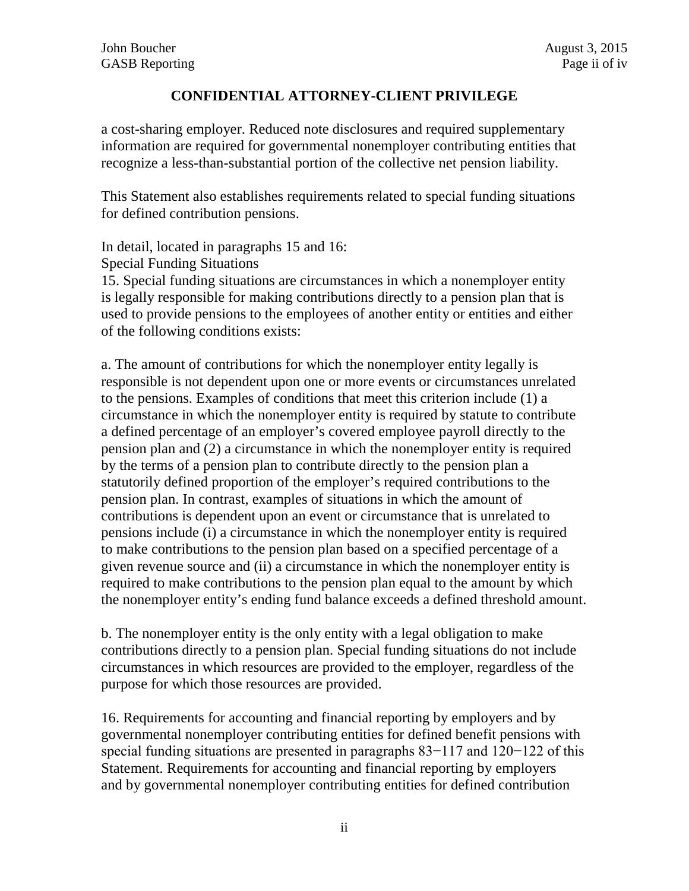a cost-sharing employer. Reduced note disclosures and required supplementary information are required for governmental nonemployer contributing entities that recognize a less-than-substantial portion of the collective net pension liability.

This Statement also establishes requirements related to special funding situations for defined contribution pensions.

In detail, located in paragraphs 15 and 16:

Special Funding Situations

15. Special funding situations are circumstances in which a nonemployer entity is legally responsible for making contributions directly to a pension plan that is used to provide pensions to the employees of another entity or entities and either of the following conditions exists:

a. The amount of contributions for which the nonemployer entity legally is responsible is not dependent upon one or more events or circumstances unrelated to the pensions. Examples of conditions that meet this criterion include (1) a circumstance in which the nonemployer entity is required by statute to contribute a defined percentage of an employer's covered employee payroll directly to the pension plan and (2) a circumstance in which the nonemployer entity is required by the terms of a pension plan to contribute directly to the pension plan a statutorily defined proportion of the employer's required contributions to the pension plan. In contrast, examples of situations in which the amount of contributions is dependent upon an event or circumstance that is unrelated to pensions include (i) a circumstance in which the nonemployer entity is required to make contributions to the pension plan based on a specified percentage of a given revenue source and (ii) a circumstance in which the nonemployer entity is required to make contributions to the pension plan equal to the amount by which the nonemployer entity's ending fund balance exceeds a defined threshold amount.

b. The nonemployer entity is the only entity with a legal obligation to make contributions directly to a pension plan. Special funding situations do not include circumstances in which resources are provided to the employer, regardless of the purpose for which those resources are provided.

16. Requirements for accounting and financial reporting by employers and by governmental nonemployer contributing entities for defined benefit pensions with special funding situations are presented in paragraphs 83–117 and 120–122 of this Statement. Requirements for accounting and financial reporting by employers and by governmental nonemployer contributing entities for defined contribution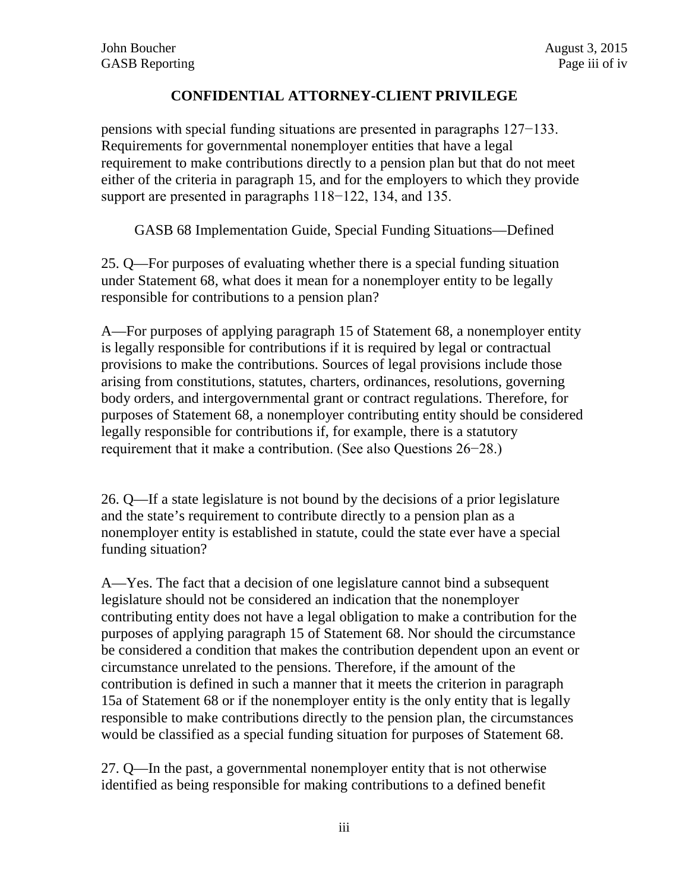pensions with special funding situations are presented in paragraphs 127−133. Requirements for governmental nonemployer entities that have a legal requirement to make contributions directly to a pension plan but that do not meet either of the criteria in paragraph 15, and for the employers to which they provide support are presented in paragraphs 118−122, 134, and 135.

GASB 68 Implementation Guide, Special Funding Situations—Defined

25. Q—For purposes of evaluating whether there is a special funding situation under Statement 68, what does it mean for a nonemployer entity to be legally responsible for contributions to a pension plan?

A—For purposes of applying paragraph 15 of Statement 68, a nonemployer entity is legally responsible for contributions if it is required by legal or contractual provisions to make the contributions. Sources of legal provisions include those arising from constitutions, statutes, charters, ordinances, resolutions, governing body orders, and intergovernmental grant or contract regulations. Therefore, for purposes of Statement 68, a nonemployer contributing entity should be considered legally responsible for contributions if, for example, there is a statutory requirement that it make a contribution. (See also Questions 26−28.)

26. Q—If a state legislature is not bound by the decisions of a prior legislature and the state's requirement to contribute directly to a pension plan as a nonemployer entity is established in statute, could the state ever have a special funding situation?

A—Yes. The fact that a decision of one legislature cannot bind a subsequent legislature should not be considered an indication that the nonemployer contributing entity does not have a legal obligation to make a contribution for the purposes of applying paragraph 15 of Statement 68. Nor should the circumstance be considered a condition that makes the contribution dependent upon an event or circumstance unrelated to the pensions. Therefore, if the amount of the contribution is defined in such a manner that it meets the criterion in paragraph 15a of Statement 68 or if the nonemployer entity is the only entity that is legally responsible to make contributions directly to the pension plan, the circumstances would be classified as a special funding situation for purposes of Statement 68.

27. Q—In the past, a governmental nonemployer entity that is not otherwise identified as being responsible for making contributions to a defined benefit